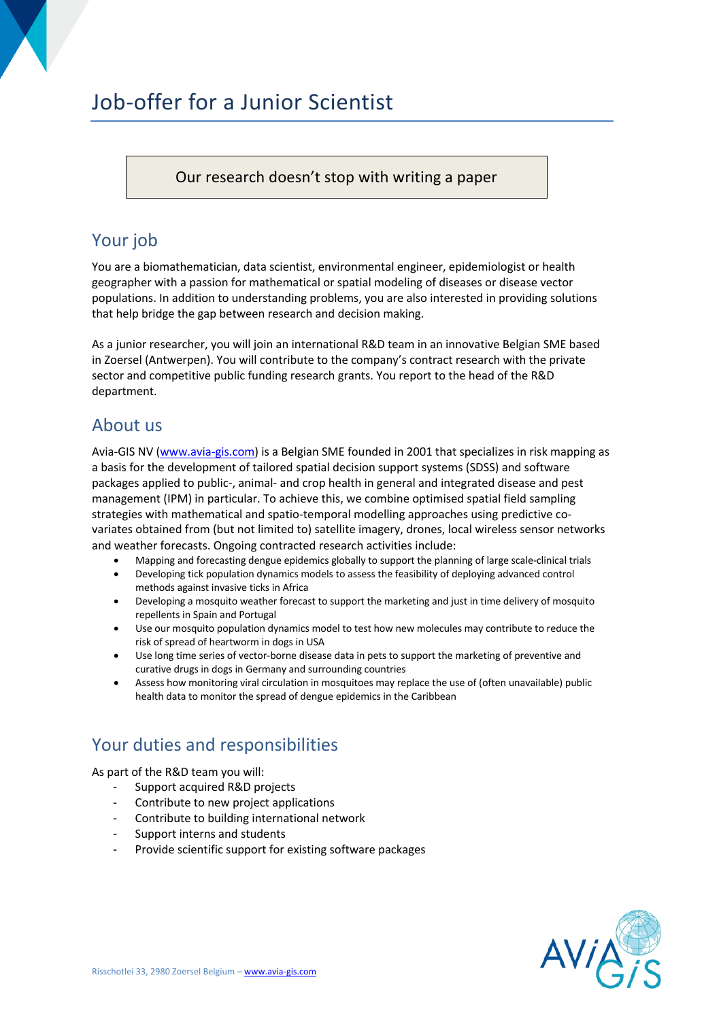# Job-offer for a Junior Scientist

#### Our research doesn't stop with writing a paper

# Your job

You are a biomathematician, data scientist, environmental engineer, epidemiologist or health geographer with a passion for mathematical or spatial modeling of diseases or disease vector populations. In addition to understanding problems, you are also interested in providing solutions that help bridge the gap between research and decision making.

As a junior researcher, you will join an international R&D team in an innovative Belgian SME based in Zoersel (Antwerpen). You will contribute to the company's contract research with the private sector and competitive public funding research grants. You report to the head of the R&D department.

### About us

Avia-GIS NV (www.avia-gis.com) is a Belgian SME founded in 2001 that specializes in risk mapping as a basis for the development of tailored spatial decision support systems (SDSS) and software packages applied to public-, animal- and crop health in general and integrated disease and pest management (IPM) in particular. To achieve this, we combine optimised spatial field sampling strategies with mathematical and spatio-temporal modelling approaches using predictive covariates obtained from (but not limited to) satellite imagery, drones, local wireless sensor networks and weather forecasts. Ongoing contracted research activities include:

- Mapping and forecasting dengue epidemics globally to support the planning of large scale-clinical trials
- Developing tick population dynamics models to assess the feasibility of deploying advanced control methods against invasive ticks in Africa
- Developing a mosquito weather forecast to support the marketing and just in time delivery of mosquito repellents in Spain and Portugal
- Use our mosquito population dynamics model to test how new molecules may contribute to reduce the risk of spread of heartworm in dogs in USA
- Use long time series of vector-borne disease data in pets to support the marketing of preventive and curative drugs in dogs in Germany and surrounding countries
- Assess how monitoring viral circulation in mosquitoes may replace the use of (often unavailable) public health data to monitor the spread of dengue epidemics in the Caribbean

# Your duties and responsibilities

As part of the R&D team you will:

- Support acquired R&D projects
- Contribute to new project applications
- Contribute to building international network
- Support interns and students
- Provide scientific support for existing software packages